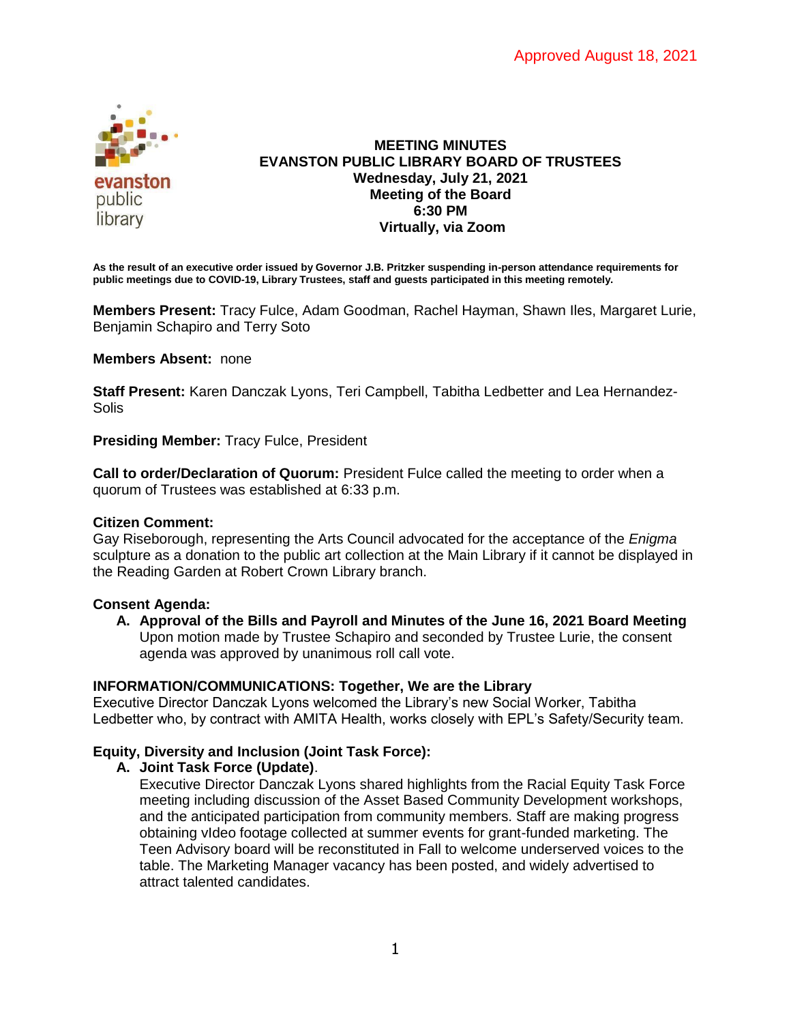

### **MEETING MINUTES EVANSTON PUBLIC LIBRARY BOARD OF TRUSTEES Wednesday, July 21, 2021 Meeting of the Board 6:30 PM Virtually, via Zoom**

**As the result of an executive order issued by Governor J.B. Pritzker suspending in-person attendance requirements for public meetings due to COVID-19, Library Trustees, staff and guests participated in this meeting remotely.**

**Members Present:** Tracy Fulce, Adam Goodman, Rachel Hayman, Shawn Iles, Margaret Lurie, Benjamin Schapiro and Terry Soto

**Members Absent:** none

**Staff Present:** Karen Danczak Lyons, Teri Campbell, Tabitha Ledbetter and Lea Hernandez-**Solis** 

**Presiding Member:** Tracy Fulce, President

**Call to order/Declaration of Quorum:** President Fulce called the meeting to order when a quorum of Trustees was established at 6:33 p.m.

# **Citizen Comment:**

Gay Riseborough, representing the Arts Council advocated for the acceptance of the *Enigma* sculpture as a donation to the public art collection at the Main Library if it cannot be displayed in the Reading Garden at Robert Crown Library branch.

### **Consent Agenda:**

**A. Approval of the Bills and Payroll and Minutes of the June 16, 2021 Board Meeting** Upon motion made by Trustee Schapiro and seconded by Trustee Lurie, the consent agenda was approved by unanimous roll call vote.

# **INFORMATION/COMMUNICATIONS: Together, We are the Library**

Executive Director Danczak Lyons welcomed the Library's new Social Worker, Tabitha Ledbetter who, by contract with AMITA Health, works closely with EPL's Safety/Security team.

# **Equity, Diversity and Inclusion (Joint Task Force):**

### **A. Joint Task Force (Update)**.

Executive Director Danczak Lyons shared highlights from the Racial Equity Task Force meeting including discussion of the Asset Based Community Development workshops, and the anticipated participation from community members. Staff are making progress obtaining vIdeo footage collected at summer events for grant-funded marketing. The Teen Advisory board will be reconstituted in Fall to welcome underserved voices to the table. The Marketing Manager vacancy has been posted, and widely advertised to attract talented candidates.